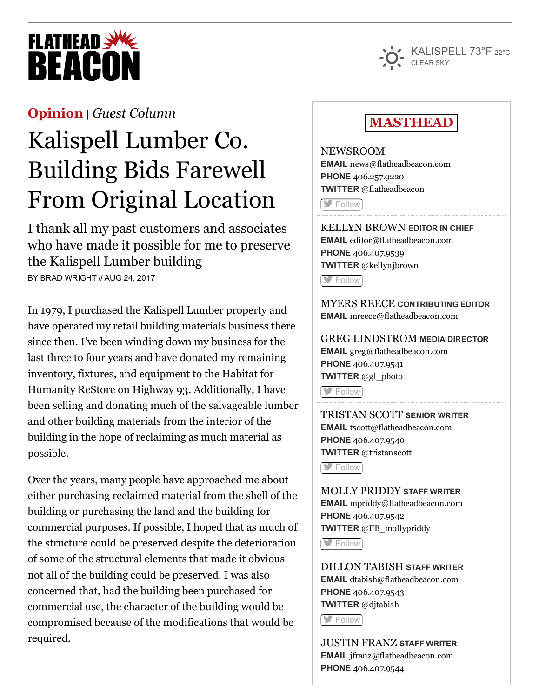# **FLATHEAD SWE REACO**



#### [Opinion](http://flatheadbeacon.com/section/opinion/) | *Guest [Column](http://flatheadbeacon.com/section/opinion/guest-column/)*

## Kalispell Lumber Co. Building Bids Farewell From Original Location

I thank all my past customers and associates who have made it possible for me to preserve the Kalispell Lumber building

BY BRAD WRIGHT // AUG 24, 2017

In 1979, I purchased the Kalispell Lumber property and have operated my retail building materials business there since then. I've been winding down my business for the last three to four years and have donated my remaining inventory, fixtures, and equipment to the Habitat for Humanity ReStore on Highway 93. Additionally, I have been selling and donating much of the salvageable lumber and other building materials from the interior of the building in the hope of reclaiming as much material as possible.

Over the years, many people have approached me about either purchasing reclaimed material from the shell of the building or purchasing the land and the building for commercial purposes. If possible, I hoped that as much of the structure could be preserved despite the deterioration of some of the structural elements that made it obvious not all of the building could be preserved. I was also concerned that, had the building been purchased for commercial use, the character of the building would be compromised because of the modifications that would be required.

### MASTHEAD

NEWSROOM EMAIL [news@flatheadbeacon.com](mailto:news@flatheadbeacon.com) PHONE [406.257.9220](tel:406.257.9220) TWITTER @flatheadbeacon

**[Follow](http://twitter.com/flatheadbeacon)** 

KELLYN BROWN EDITOR IN CHIEF EMAIL [editor@flatheadbeacon.com](mailto:editor@flatheadbeacon.com) PHONE [406.407.9539](tel:406.407.9539) TWITTER @kellynjbrown

[Follow](http://twitter.com/kellynjbrown)

MYERS REECE CONTRIBUTING EDITOR EMAIL [mreece@flatheadbeacon.com](mailto:mreece@flatheadbeacon.com)

GREG LINDSTROM MEDIA DIRECTOR EMAIL [greg@flatheadbeacon.com](mailto:greg@flatheadbeacon.com) PHONE [406.407.9541](tel:406.407.9541) TWITTER @gl\_photo

**[Follow](http://twitter.com/gl_photo)** 

TRISTAN SCOTT SENIOR WRITER EMAIL [tscott@flatheadbeacon.com](mailto:tscott@flatheadbeacon.com) PHONE [406.407.9540](tel:406.407.9540) TWITTER @tristanscott

**[Follow](http://twitter.com/tristanscott)** 

MOLLY PRIDDY STAFF WRITER EMAIL [mpriddy@flatheadbeacon.com](mailto:mpriddy@flatheadbeacon.com) PHONE [406.407.9542](tel:406.407.9542) TWITTER @FB\_mollypriddy

**S** [Follow](http://twitter.com/FB_mollypriddy)

DILLON TABISH STAFF WRITER EMAIL [dtabish@flatheadbeacon.com](mailto:dtabish@flatheadbeacon.com) PHONE [406.407.9543](tel:406.407.9543) TWITTER @djtabish

**[Follow](http://twitter.com/djtabish)** 

JUSTIN FRANZ STAFF WRITER EMAIL [jfranz@flatheadbeacon.com](mailto:jfranz@flatheadbeacon.com) PHONE [406.407.9544](tel:406.407.9544)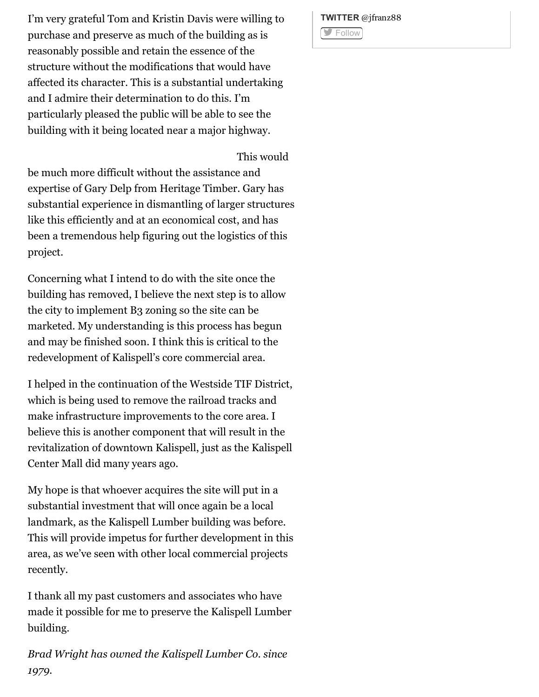I'm very grateful Tom and Kristin Davis were willing to purchase and preserve as much of the building as is reasonably possible and retain the essence of the structure without the modifications that would have affected its character. This is a substantial undertaking and I admire their determination to do this. I'm particularly pleased the public will be able to see the building with it being located near a major highway.

This would

be much more difficult without the assistance and expertise of Gary Delp from Heritage Timber. Gary has substantial experience in dismantling of larger structures like this efficiently and at an economical cost, and has been a tremendous help figuring out the logistics of this project.

Concerning what I intend to do with the site once the building has removed, I believe the next step is to allow the city to implement B3 zoning so the site can be marketed. My understanding is this process has begun and may be finished soon. I think this is critical to the redevelopment of Kalispell's core commercial area.

I helped in the continuation of the Westside TIF District, which is being used to remove the railroad tracks and make infrastructure improvements to the core area. I believe this is another component that will result in the revitalization of downtown Kalispell, just as the Kalispell Center Mall did many years ago.

My hope is that whoever acquires the site will put in a substantial investment that will once again be a local landmark, as the Kalispell Lumber building was before. This will provide impetus for further development in this area, as we've seen with other local commercial projects recently.

I thank all my past customers and associates who have made it possible for me to preserve the Kalispell Lumber building.

*Brad Wright has owned the Kalispell Lumber Co. since 1979.*

TWITTER @jfranz88 **[Follow](http://twitter.com/jfranz88)**